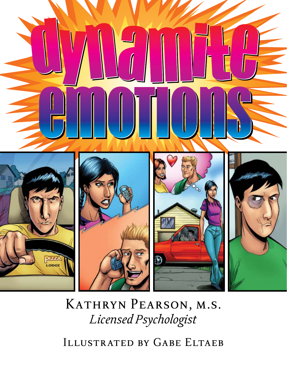

## KATHRYN PEARSON, M.S. *Licensed Psychologist*

ILLUSTRATED BY GABE ELTAEB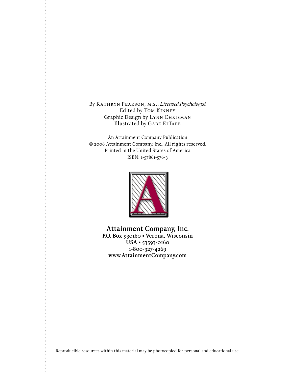By Kathryn Pearson, m.s., *Licensed Psychologist* Edited by Tom Kinney Graphic Design by Lynn Chrisman Illustrated by GABE ELTAEB

An Attainment Company Publication © 2006 Attainment Company, Inc., All rights reserved. Printed in the United States of America ISBN: 1-57861-576-3



**Attainment Company, Inc. P.O. Box 930160 • Verona, Wisconsin USA • 53593-0160 1-800-327-4269 www.AttainmentCompany.com**

Reproducible resources within this material may be photocopied for personal and educational use.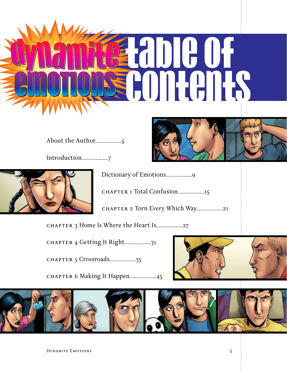

About the Author...................5

Introduction...................7



Dictionary of Emotions...................9

chapter 1 Total Confusion...................15

chapter 2 Torn Every Which Way...................21

chapter 3 Home Is Where the Heart Is...................27

chapter 4 Getting It Right...................31

chapter 5 Crossroads...................35

CHAPTER 6 Making It Happen...................45



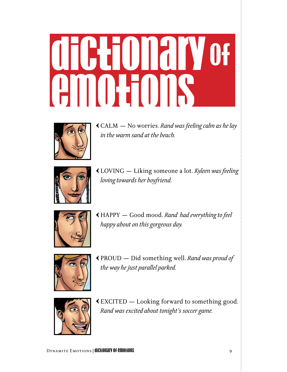## **dictionary** of **emotions**



E CALM — No worries. *Rand was feeling calm as he lay in the warm sand at the beach.*



E LOVING — Liking someone a lot. *Kyleen was feeling loving towards her boyfriend.*



E HAPPY — Good mood. *Rand had everything to feel happy about on this gorgeous day.*



E PROUD — Did something well. *Rand was proud of the way he just parallel parked.*



E EXCITED — Looking forward to something good. *Rand was excited about tonight's soccer game.*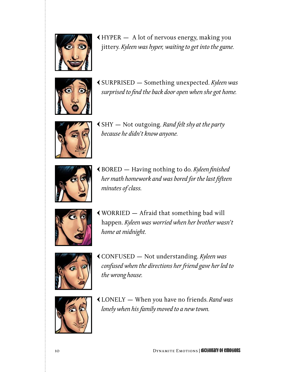

E HYPER — A lot of nervous energy, making you jittery. *Kyleen was hyper, waiting to get into the game.*



E SURPRISED — Something unexpected. *Kyleen was surprised to find the back door open when she got home.*



E SHY — Not outgoing. *Rand felt shy at the party because he didn't know anyone.*



E BORED — Having nothing to do. *Kyleen finished her math homework and was bored for the last fifteen minutes of class.*



E WORRIED — Afraid that something bad will happen. *Kyleen was worried when her brother wasn't home at midnight.*



E CONFUSED — Not understanding. *Kyleen was confused when the directions her friend gave her led to the wrong house.*



E LONELY — When you have no friends. *Rand was lonely when his family moved to a new town.*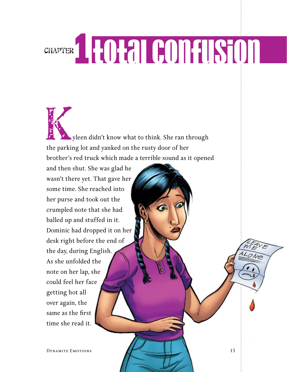## chapter**1Total COnFUSION**

 yleen didn't know what to think. She ran through the parking lot and yanked on the rusty door of her brother's red truck which made a terrible sound as it opened Karakter Bander

and then shut. She was glad he wasn't there yet. That gave her some time. She reached into her purse and took out the crumpled note that she had balled up and stuffed in it. Dominic had dropped it on her desk right before the end of the day, during English. As she unfolded the note on her lap, she could feel her face getting hot all over again, the same as the first time she read it.

DYNAMITE EMOTIONS 15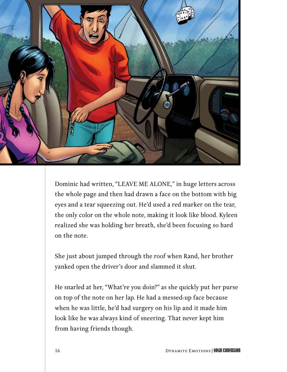

Dominic had written, "LEAVE ME ALONE," in huge letters across the whole page and then had drawn a face on the bottom with big eyes and a tear squeezing out. He'd used a red marker on the tear, the only color on the whole note, making it look like blood. Kyleen realized she was holding her breath, she'd been focusing so hard on the note.

She just about jumped through the roof when Rand, her brother yanked open the driver's door and slammed it shut.

He snarled at her, "What're you doin?" as she quickly put her purse on top of the note on her lap. He had a messed-up face because when he was little, he'd had surgery on his lip and it made him look like he was always kind of sneering. That never kept him from having friends though.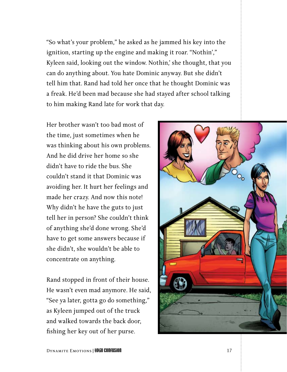"So what's your problem," he asked as he jammed his key into the ignition, starting up the engine and making it roar. "Nothin'," Kyleen said, looking out the window. Nothin,' she thought, that you can do anything about. You hate Dominic anyway. But she didn't tell him that. Rand had told her once that he thought Dominic was a freak. He'd been mad because she had stayed after school talking to him making Rand late for work that day.

Her brother wasn't too bad most of the time, just sometimes when he was thinking about his own problems. And he did drive her home so she didn't have to ride the bus. She couldn't stand it that Dominic was avoiding her. It hurt her feelings and made her crazy. And now this note! Why didn't he have the guts to just tell her in person? She couldn't think of anything she'd done wrong. She'd have to get some answers because if she didn't, she wouldn't be able to concentrate on anything.

Rand stopped in front of their house. He wasn't even mad anymore. He said, "See ya later, gotta go do something," as Kyleen jumped out of the truck and walked towards the back door, fishing her key out of her purse.

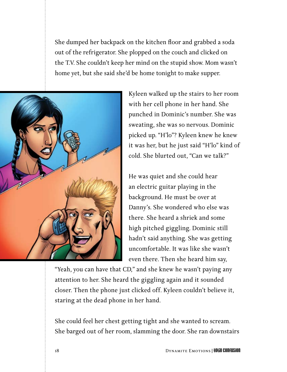She dumped her backpack on the kitchen floor and grabbed a soda out of the refrigerator. She plopped on the couch and clicked on the T.V. She couldn't keep her mind on the stupid show. Mom wasn't home yet, but she said she'd be home tonight to make supper.



Kyleen walked up the stairs to her room with her cell phone in her hand. She punched in Dominic's number. She was sweating, she was so nervous. Dominic picked up. "H'lo"? Kyleen knew he knew it was her, but he just said "H'lo" kind of cold. She blurted out, "Can we talk?"

He was quiet and she could hear an electric guitar playing in the background. He must be over at Danny's. She wondered who else was there. She heard a shriek and some high pitched giggling. Dominic still hadn't said anything. She was getting uncomfortable. It was like she wasn't even there. Then she heard him say,

"Yeah, you can have that CD," and she knew he wasn't paying any attention to her. She heard the giggling again and it sounded closer. Then the phone just clicked off. Kyleen couldn't believe it, staring at the dead phone in her hand.

She could feel her chest getting tight and she wanted to scream. She barged out of her room, slamming the door. She ran downstairs